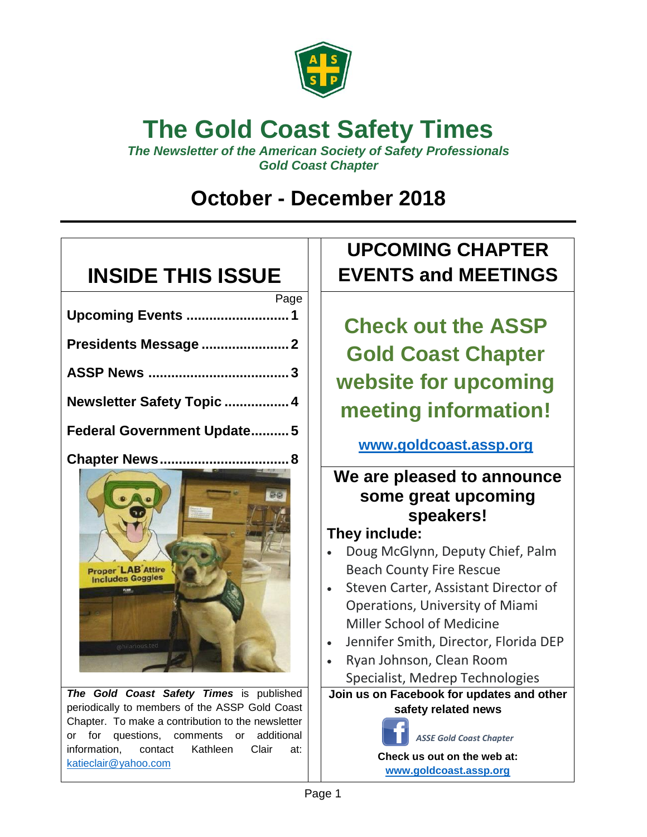

# **The Gold Coast Safety Times**

*The Newsletter of the American Society of Safety Professionals Gold Coast Chapter*

## **October - December 2018**

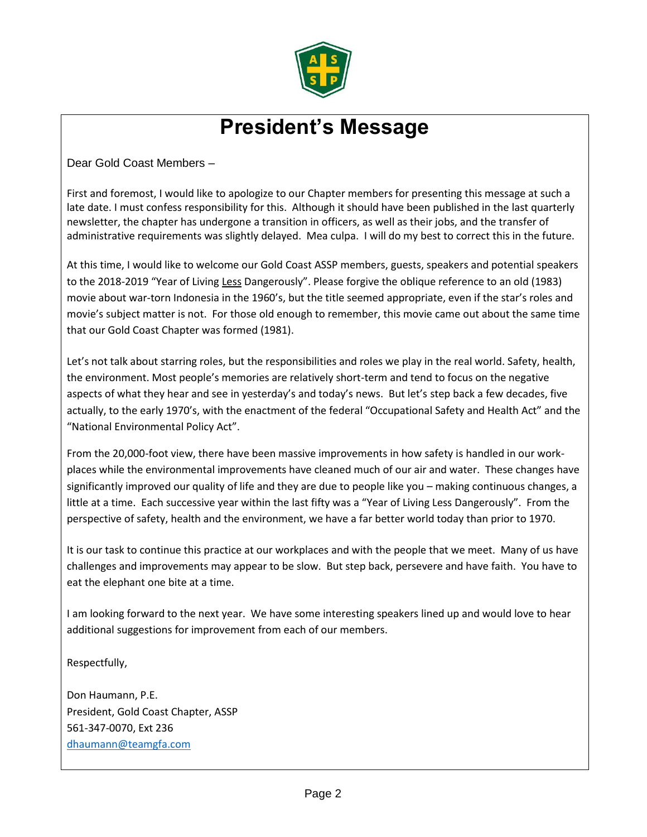

## **President's Message**

Dear Gold Coast Members –

First and foremost, I would like to apologize to our Chapter members for presenting this message at such a late date. I must confess responsibility for this. Although it should have been published in the last quarterly newsletter, the chapter has undergone a transition in officers, as well as their jobs, and the transfer of administrative requirements was slightly delayed. Mea culpa. I will do my best to correct this in the future.

At this time, I would like to welcome our Gold Coast ASSP members, guests, speakers and potential speakers to the 2018-2019 "Year of Living Less Dangerously". Please forgive the oblique reference to an old (1983) movie about war-torn Indonesia in the 1960's, but the title seemed appropriate, even if the star's roles and movie's subject matter is not. For those old enough to remember, this movie came out about the same time that our Gold Coast Chapter was formed (1981).

Let's not talk about starring roles, but the responsibilities and roles we play in the real world. Safety, health, the environment. Most people's memories are relatively short-term and tend to focus on the negative aspects of what they hear and see in yesterday's and today's news. But let's step back a few decades, five actually, to the early 1970's, with the enactment of the federal "Occupational Safety and Health Act" and the "National Environmental Policy Act".

From the 20,000-foot view, there have been massive improvements in how safety is handled in our workplaces while the environmental improvements have cleaned much of our air and water. These changes have significantly improved our quality of life and they are due to people like you – making continuous changes, a little at a time. Each successive year within the last fifty was a "Year of Living Less Dangerously". From the perspective of safety, health and the environment, we have a far better world today than prior to 1970.

It is our task to continue this practice at our workplaces and with the people that we meet. Many of us have challenges and improvements may appear to be slow. But step back, persevere and have faith. You have to eat the elephant one bite at a time.

I am looking forward to the next year. We have some interesting speakers lined up and would love to hear additional suggestions for improvement from each of our members.

Respectfully,

Don Haumann, P.E. President, Gold Coast Chapter, ASSP 561-347-0070, Ext 236 [dhaumann@teamgfa.com](mailto:dhaumann@teamgfa.com)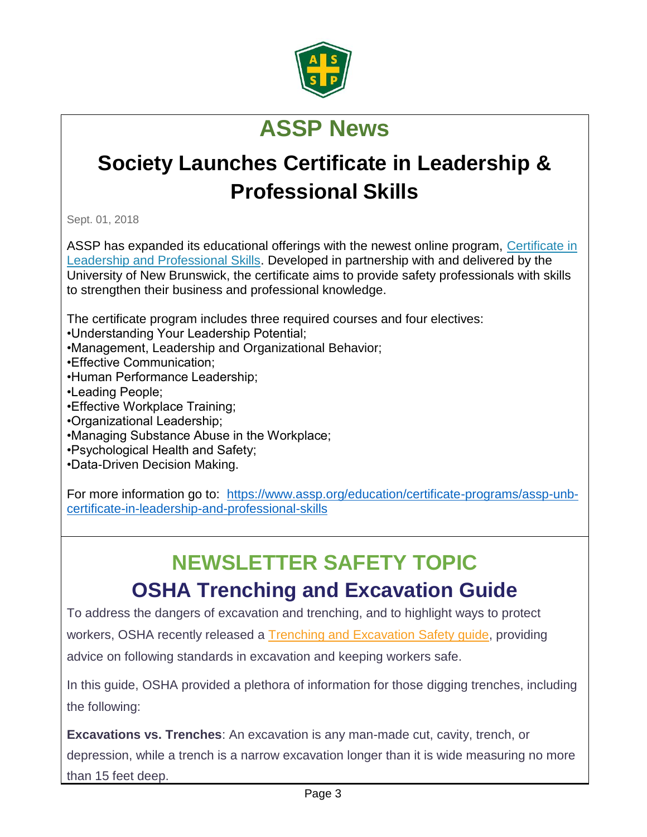

# **ASSP News**

# **Society Launches Certificate in Leadership & Professional Skills**

Sept. 01, 2018

ASSP has expanded its educational offerings with the newest online program, [Certificate in](https://www.assp.org/education/certificate-programs/assp-unb-certificate-in-leadership-and-professional-skills)  [Leadership and Professional Skills.](https://www.assp.org/education/certificate-programs/assp-unb-certificate-in-leadership-and-professional-skills) Developed in partnership with and delivered by the University of New Brunswick, the certificate aims to provide safety professionals with skills to strengthen their business and professional knowledge.

The certificate program includes three required courses and four electives:

•Understanding Your Leadership Potential;

- •Management, Leadership and Organizational Behavior;
- •Effective Communication;
- •Human Performance Leadership;
- •Leading People;
- •Effective Workplace Training;
- •Organizational Leadership;
- •Managing Substance Abuse in the Workplace;
- •Psychological Health and Safety;
- •Data-Driven Decision Making.

For more information go to: [https://www.assp.org/education/certificate-programs/assp-unb](https://www.assp.org/education/certificate-programs/assp-unb-certificate-in-leadership-and-professional-skills)[certificate-in-leadership-and-professional-skills](https://www.assp.org/education/certificate-programs/assp-unb-certificate-in-leadership-and-professional-skills)

# **NEWSLETTER SAFETY TOPIC**

## **OSHA Trenching and Excavation Guide**

To address the dangers of excavation and trenching, and to highlight ways to protect workers, OSHA recently released a Trenching and [Excavation](https://www.osha.gov/Publications/osha2226.pdf) Safety guide, providing advice on following standards in excavation and keeping workers safe.

In this guide, OSHA provided a plethora of information for those digging trenches, including the following:

• **Excavations vs. Trenches**: An excavation is any man-made cut, cavity, trench, or depression, while a trench is a narrow excavation longer than it is wide measuring no more than 15 feet deep.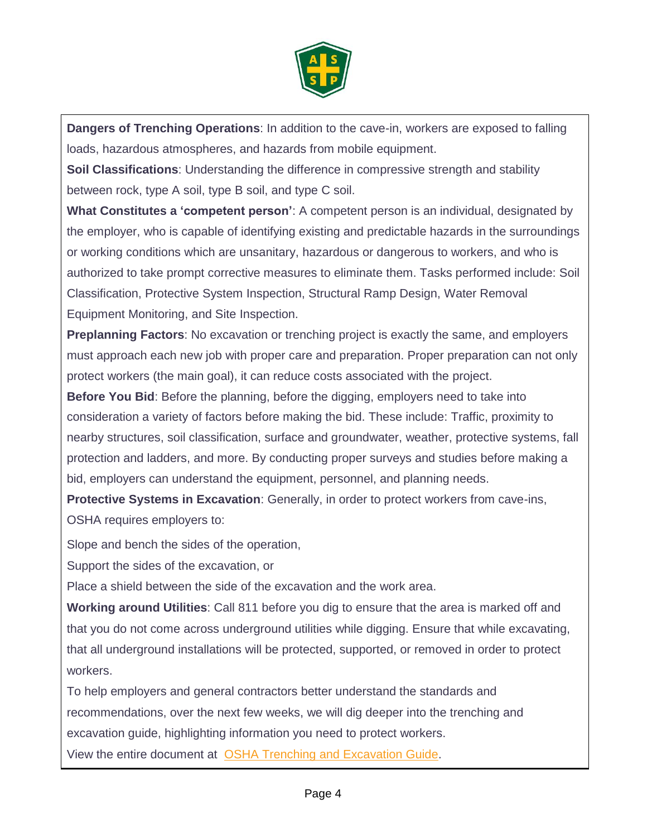

• **Dangers of Trenching Operations**: In addition to the cave-in, workers are exposed to falling loads, hazardous atmospheres, and hazards from mobile equipment.

• **Soil Classifications**: Understanding the difference in compressive strength and stability between rock, type A soil, type B soil, and type C soil.

• **What Constitutes a 'competent person'**: A competent person is an individual, designated by the employer, who is capable of identifying existing and predictable hazards in the surroundings or working conditions which are unsanitary, hazardous or dangerous to workers, and who is authorized to take prompt corrective measures to eliminate them. Tasks performed include: Soil Classification, Protective System Inspection, Structural Ramp Design, Water Removal Equipment Monitoring, and Site Inspection.

• **Preplanning Factors**: No excavation or trenching project is exactly the same, and employers must approach each new job with proper care and preparation. Proper preparation can not only protect workers (the main goal), it can reduce costs associated with the project.

• **Before You Bid**: Before the planning, before the digging, employers need to take into consideration a variety of factors before making the bid. These include: Traffic, proximity to nearby structures, soil classification, surface and groundwater, weather, protective systems, fall protection and ladders, and more. By conducting proper surveys and studies before making a bid, employers can understand the equipment, personnel, and planning needs.

• **Protective Systems in Excavation**: Generally, in order to protect workers from cave-ins, OSHA requires employers to:

Slope and bench the sides of the operation,

• Support the sides of the excavation, or

• Place a shield between the side of the excavation and the work area.

• **Working around Utilities**: Call 811 before you dig to ensure that the area is marked off and that you do not come across underground utilities while digging. Ensure that while excavating, that all underground installations will be protected, supported, or removed in order to protect workers.

To help employers and general contractors better understand the standards and recommendations, over the next few weeks, we will dig deeper into the trenching and excavation guide, highlighting information you need to protect workers.

View the entire document at OSHA Trenching and [Excavation](https://www.osha.gov/Publications/osha2226.pdf) Guide.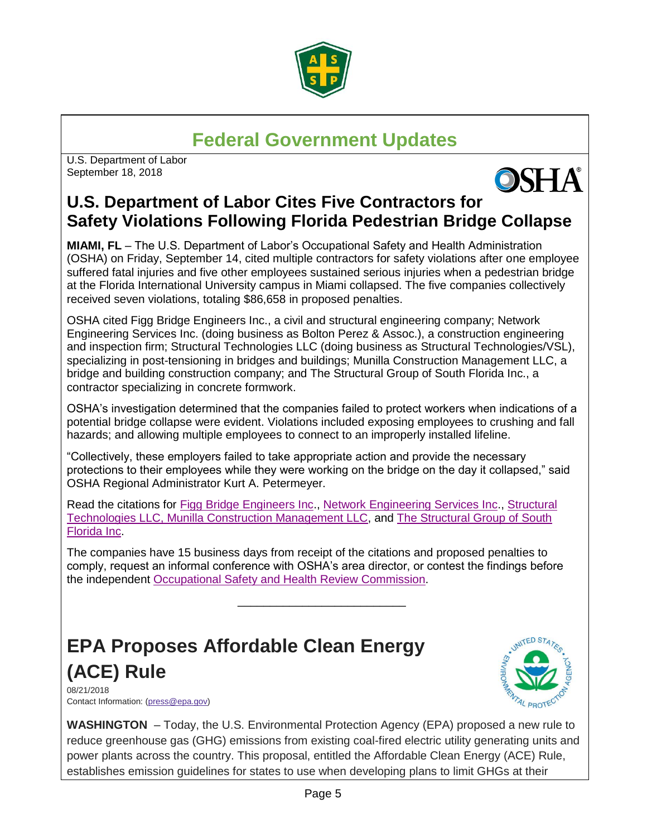

#### **Federal Government Updates**

U.S. Department of Labor September 18, 2018



#### **U.S. Department of Labor Cites Five Contractors for Safety Violations Following Florida Pedestrian Bridge Collapse**

**MIAMI, FL** – The U.S. Department of Labor's Occupational Safety and Health Administration (OSHA) on Friday, September 14, cited multiple contractors for safety violations after one employee suffered fatal injuries and five other employees sustained serious injuries when a pedestrian bridge at the Florida International University campus in Miami collapsed. The five companies collectively received seven violations, totaling \$86,658 in proposed penalties.

OSHA cited Figg Bridge Engineers Inc., a civil and structural engineering company; Network Engineering Services Inc. (doing business as Bolton Perez & Assoc.), a construction engineering and inspection firm; Structural Technologies LLC (doing business as Structural Technologies/VSL), specializing in post-tensioning in bridges and buildings; Munilla Construction Management LLC, a bridge and building construction company; and The Structural Group of South Florida Inc., a contractor specializing in concrete formwork.

OSHA's investigation determined that the companies failed to protect workers when indications of a potential bridge collapse were evident. Violations included exposing employees to crushing and fall hazards; and allowing multiple employees to connect to an improperly installed lifeline.

"Collectively, these employers failed to take appropriate action and provide the necessary protections to their employees while they were working on the bridge on the day it collapsed," said OSHA Regional Administrator Kurt A. Petermeyer.

Read the citations for [Figg Bridge Engineers Inc.](https://www.dol.gov/sites/dolgov/files/OPA/newsreleases/OSHA20181372e.pdf), [Network Engineering Services Inc.](https://www.dol.gov/sites/dolgov/files/OPA/newsreleases/OSHA20181372c.pdf), [Structural](https://www.dol.gov/sites/dolgov/files/OPA/newsreleases/OSHA20181372d.pdf)  [Technologies LLC](https://www.dol.gov/sites/dolgov/files/OPA/newsreleases/OSHA20181372d.pdf)[, Munilla Construction Management LLC,](https://www.dol.gov/sites/dolgov/files/OPA/newsreleases/OSHA20181372b.pdf) and [The Structural Group of South](https://www.dol.gov/sites/dolgov/files/OPA/newsreleases/OSHA20181372a.pdf)  [Florida Inc.](https://www.dol.gov/sites/dolgov/files/OPA/newsreleases/OSHA20181372a.pdf)

The companies have 15 business days from receipt of the citations and proposed penalties to comply, request an informal conference with OSHA's area director, or contest the findings before the independent [Occupational Safety and Health Review](https://www.oshrc.gov/) Commission.

\_\_\_\_\_\_\_\_\_\_\_\_\_\_\_\_\_\_\_\_\_\_\_\_\_\_

#### **EPA Proposes Affordable Clean Energy (ACE) Rule**

08/21/2018 Contact Information: [\(press@epa.gov\)](mailto:press@epa.gov)



**WASHINGTON** – Today, the U.S. Environmental Protection Agency (EPA) proposed a new rule to reduce greenhouse gas (GHG) emissions from existing coal-fired electric utility generating units and power plants across the country. This proposal, entitled the Affordable Clean Energy (ACE) Rule, establishes emission guidelines for states to use when developing plans to limit GHGs at their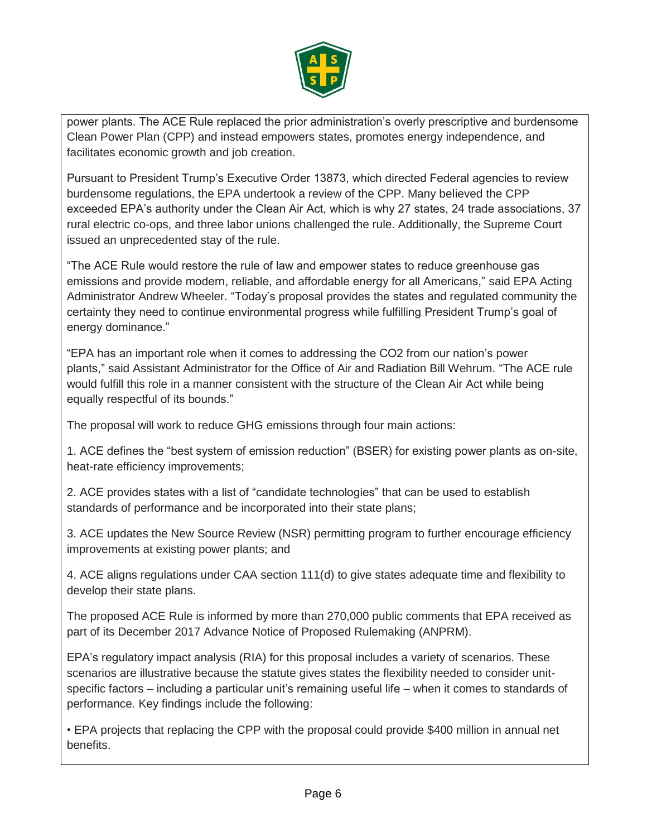

power plants. The ACE Rule replaced the prior administration's overly prescriptive and burdensome Clean Power Plan (CPP) and instead empowers states, promotes energy independence, and facilitates economic growth and job creation.

Pursuant to President Trump's Executive Order 13873, which directed Federal agencies to review burdensome regulations, the EPA undertook a review of the CPP. Many believed the CPP exceeded EPA's authority under the Clean Air Act, which is why 27 states, 24 trade associations, 37 rural electric co-ops, and three labor unions challenged the rule. Additionally, the Supreme Court issued an unprecedented stay of the rule.

"The ACE Rule would restore the rule of law and empower states to reduce greenhouse gas emissions and provide modern, reliable, and affordable energy for all Americans," said EPA Acting Administrator Andrew Wheeler. "Today's proposal provides the states and regulated community the certainty they need to continue environmental progress while fulfilling President Trump's goal of energy dominance."

"EPA has an important role when it comes to addressing the CO2 from our nation's power plants," said Assistant Administrator for the Office of Air and Radiation Bill Wehrum. "The ACE rule would fulfill this role in a manner consistent with the structure of the Clean Air Act while being equally respectful of its bounds."

The proposal will work to reduce GHG emissions through four main actions:

1. ACE defines the "best system of emission reduction" (BSER) for existing power plants as on-site, heat-rate efficiency improvements;

2. ACE provides states with a list of "candidate technologies" that can be used to establish standards of performance and be incorporated into their state plans;

3. ACE updates the New Source Review (NSR) permitting program to further encourage efficiency improvements at existing power plants; and

4. ACE aligns regulations under CAA section 111(d) to give states adequate time and flexibility to develop their state plans.

The proposed ACE Rule is informed by more than 270,000 public comments that EPA received as part of its December 2017 Advance Notice of Proposed Rulemaking (ANPRM).

EPA's regulatory impact analysis (RIA) for this proposal includes a variety of scenarios. These scenarios are illustrative because the statute gives states the flexibility needed to consider unitspecific factors – including a particular unit's remaining useful life – when it comes to standards of performance. Key findings include the following:

• EPA projects that replacing the CPP with the proposal could provide \$400 million in annual net benefits.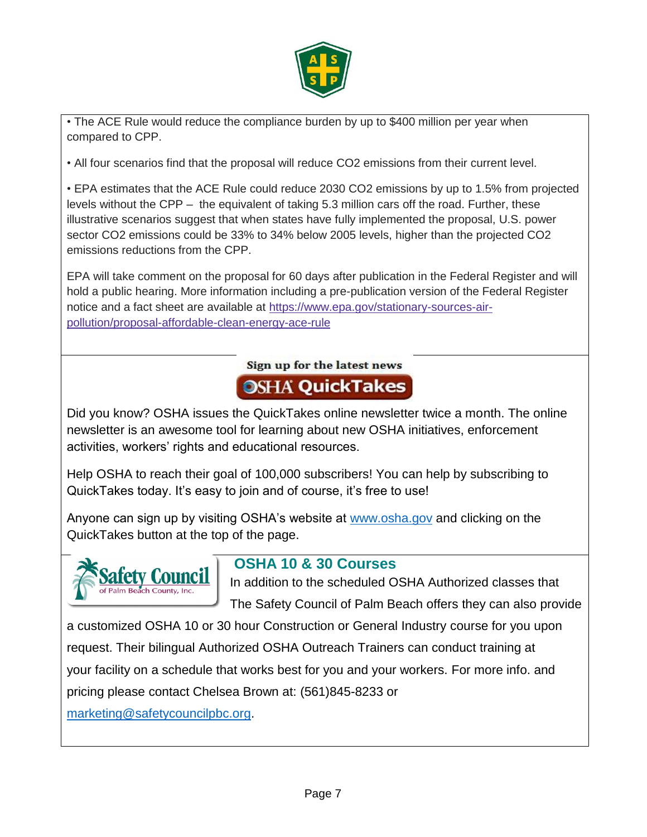

• The ACE Rule would reduce the compliance burden by up to \$400 million per year when compared to CPP.

• All four scenarios find that the proposal will reduce CO2 emissions from their current level.

• EPA estimates that the ACE Rule could reduce 2030 CO2 emissions by up to 1.5% from projected levels without the CPP – the equivalent of taking 5.3 million cars off the road. Further, these illustrative scenarios suggest that when states have fully implemented the proposal, U.S. power sector CO2 emissions could be 33% to 34% below 2005 levels, higher than the projected CO2 emissions reductions from the CPP.

EPA will take comment on the proposal for 60 days after publication in the Federal Register and will hold a public hearing. More information including a pre-publication version of the Federal Register notice and a fact sheet are available at [https://www.epa.gov/stationary-sources-air](https://www.epa.gov/stationary-sources-air-pollution/proposal-affordable-clean-energy-ace-rule)[pollution/proposal-affordable-clean-energy-ace-rule](https://www.epa.gov/stationary-sources-air-pollution/proposal-affordable-clean-energy-ace-rule)

#### Sign up for the latest news **OSHA QuickTakes**

Did you know? OSHA issues the QuickTakes online newsletter twice a month. The online newsletter is an awesome tool for learning about new OSHA initiatives, enforcement activities, workers' rights and educational resources.

Help OSHA to reach their goal of 100,000 subscribers! You can help by subscribing to QuickTakes today. It's easy to join and of course, it's free to use!

Anyone can sign up by visiting OSHA's website at [www.osha.gov](http://cts.vresp.com/c/?USFOSHATrainingInsti/6ff81c8c6a/93fa106c6a/ab53faa203) and clicking on the QuickTakes button at the top of the page.



#### **OSHA 10 & 30 Courses**

In addition to the scheduled OSHA Authorized classes that

The Safety Council of Palm Beach offers they can also provide

a customized OSHA 10 or 30 hour Construction or General Industry course for you upon request. Their bilingual Authorized OSHA Outreach Trainers can conduct training at your facility on a schedule that works best for you and your workers. For more info. and pricing please contact Chelsea Brown at: (561)845-8233 or

[marketing@safetycouncilpbc.org.](mailto:marketing@safetycouncilpbc.org)